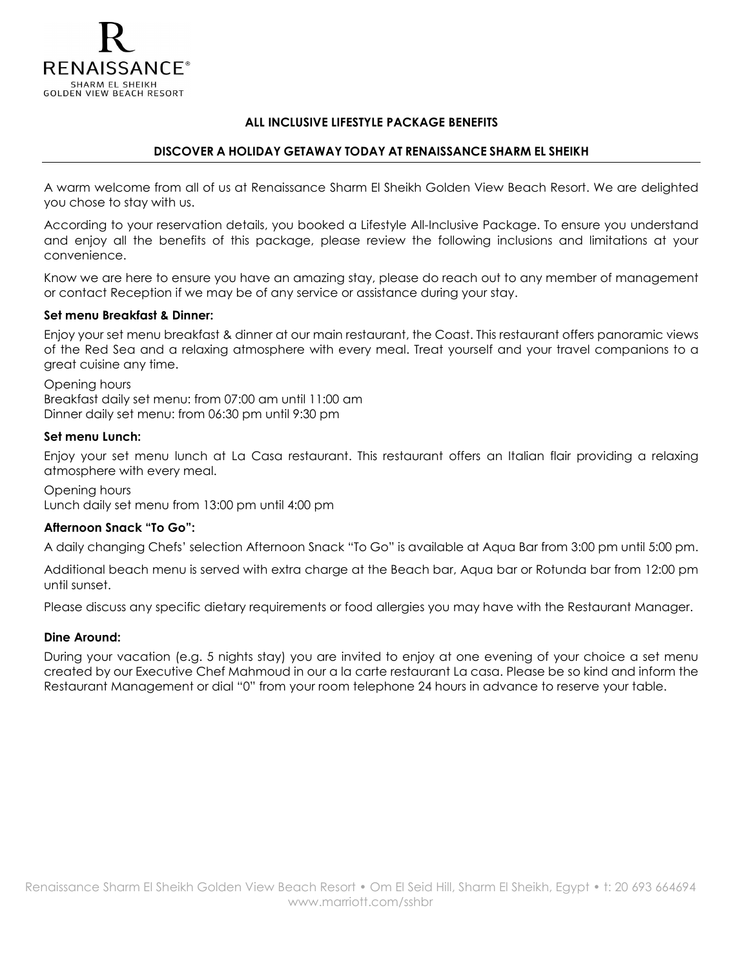

## ALL INCLUSIVE LIFESTYLE PACKAGE BENEFITS

## DISCOVER A HOLIDAY GETAWAY TODAY AT RENAISSANCE SHARM EL SHEIKH

A warm welcome from all of us at Renaissance Sharm El Sheikh Golden View Beach Resort. We are delighted you chose to stay with us.

According to your reservation details, you booked a Lifestyle All-Inclusive Package. To ensure you understand and enjoy all the benefits of this package, please review the following inclusions and limitations at your convenience.

Know we are here to ensure you have an amazing stay, please do reach out to any member of management or contact Reception if we may be of any service or assistance during your stay.

## Set menu Breakfast & Dinner:

Enjoy your set menu breakfast & dinner at our main restaurant, the Coast. This restaurant offers panoramic views of the Red Sea and a relaxing atmosphere with every meal. Treat yourself and your travel companions to a great cuisine any time.

Opening hours Breakfast daily set menu: from 07:00 am until 11:00 am Dinner daily set menu: from 06:30 pm until 9:30 pm

#### Set menu Lunch:

Enjoy your set menu lunch at La Casa restaurant. This restaurant offers an Italian flair providing a relaxing atmosphere with every meal.

Opening hours Lunch daily set menu from 13:00 pm until 4:00 pm

## Afternoon Snack "To Go":

A daily changing Chefs' selection Afternoon Snack "To Go" is available at Aqua Bar from 3:00 pm until 5:00 pm.

Additional beach menu is served with extra charge at the Beach bar, Aqua bar or Rotunda bar from 12:00 pm until sunset.

Please discuss any specific dietary requirements or food allergies you may have with the Restaurant Manager.

## Dine Around:

During your vacation (e.g. 5 nights stay) you are invited to enjoy at one evening of your choice a set menu created by our Executive Chef Mahmoud in our a la carte restaurant La casa. Please be so kind and inform the Restaurant Management or dial "0" from your room telephone 24 hours in advance to reserve your table.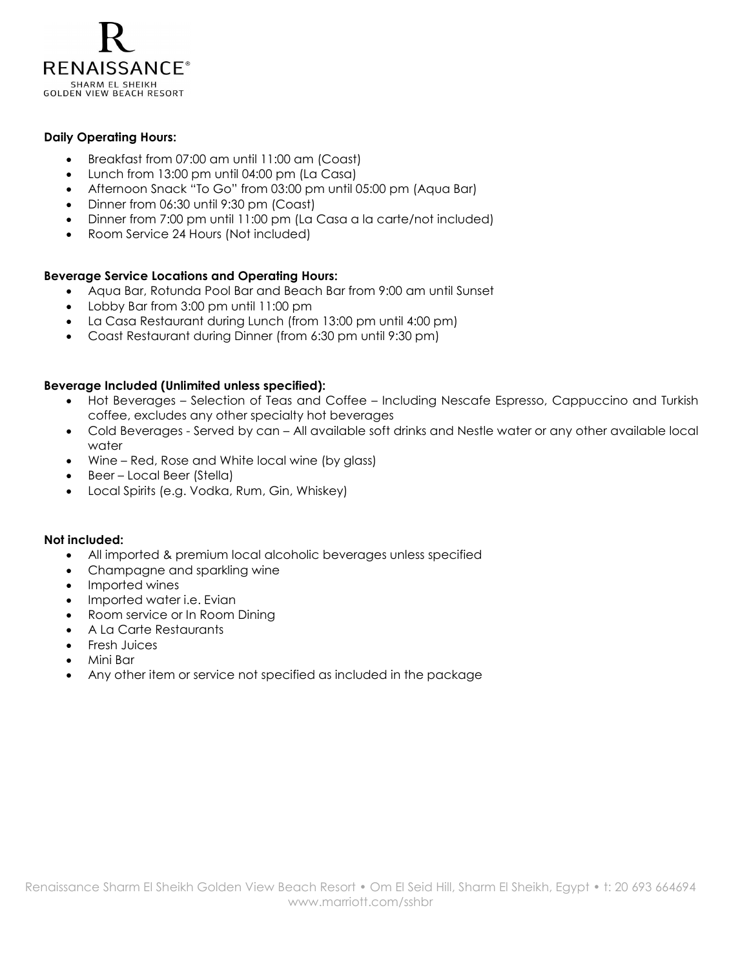

### Daily Operating Hours:

- Breakfast from 07:00 am until 11:00 am (Coast)
- Lunch from 13:00 pm until 04:00 pm (La Casa)
- Afternoon Snack "To Go" from 03:00 pm until 05:00 pm (Aqua Bar)
- Dinner from 06:30 until 9:30 pm (Coast)
- Dinner from 7:00 pm until 11:00 pm (La Casa a la carte/not included)
- Room Service 24 Hours (Not included)

## Beverage Service Locations and Operating Hours:

- Aqua Bar, Rotunda Pool Bar and Beach Bar from 9:00 am until Sunset
- Lobby Bar from 3:00 pm until 11:00 pm
- La Casa Restaurant during Lunch (from 13:00 pm until 4:00 pm)
- Coast Restaurant during Dinner (from 6:30 pm until 9:30 pm)

#### Beverage Included (Unlimited unless specified):

- Hot Beverages Selection of Teas and Coffee Including Nescafe Espresso, Cappuccino and Turkish coffee, excludes any other specialty hot beverages
- Cold Beverages Served by can All available soft drinks and Nestle water or any other available local water
- Wine Red, Rose and White local wine (by glass)
- Beer Local Beer (Stella)
- Local Spirits (e.g. Vodka, Rum, Gin, Whiskey)

#### Not included:

- All imported & premium local alcoholic beverages unless specified
- Champagne and sparkling wine
- Imported wines
- Imported water i.e. Evian
- Room service or In Room Dining
- A La Carte Restaurants
- Fresh Juices
- Mini Bar
- Any other item or service not specified as included in the package